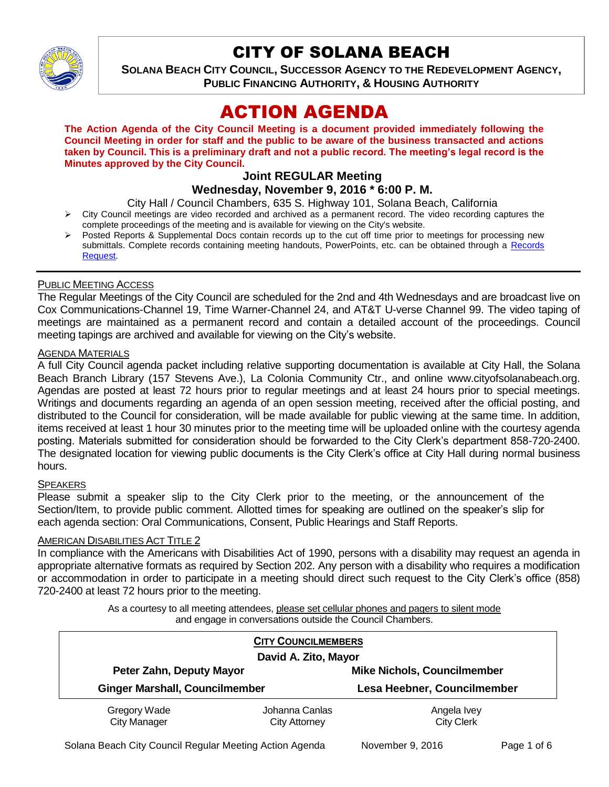

# CITY OF SOLANA BEACH

**SOLANA BEACH CITY COUNCIL, SUCCESSOR AGENCY TO THE REDEVELOPMENT AGENCY, PUBLIC FINANCING AUTHORITY, & HOUSING AUTHORITY** 

# ACTION AGENDA

**The Action Agenda of the City Council Meeting is a document provided immediately following the Council Meeting in order for staff and the public to be aware of the business transacted and actions taken by Council. This is a preliminary draft and not a public record. The meeting's legal record is the Minutes approved by the City Council.**

# **Joint REGULAR Meeting**

**Wednesday, November 9, 2016 \* 6:00 P. M.**

City Hall / Council Chambers, 635 S. Highway 101, Solana Beach, California

- $\triangleright$  City Council meetings are video recorded and archived as a permanent record. The video recording captures the complete proceedings of the meeting and is available for viewing on the City's website.
- Posted Reports & Supplemental Docs contain records up to the cut off time prior to meetings for processing new submittals. Complete records containing meeting handouts, PowerPoints, etc. can be obtained through a Records [Request.](http://www.ci.solana-beach.ca.us/index.asp?SEC=F5D45D10-70CE-4291-A27C-7BD633FC6742&Type=B_BASIC)

## PUBLIC MEETING ACCESS

The Regular Meetings of the City Council are scheduled for the 2nd and 4th Wednesdays and are broadcast live on Cox Communications-Channel 19, Time Warner-Channel 24, and AT&T U-verse Channel 99. The video taping of meetings are maintained as a permanent record and contain a detailed account of the proceedings. Council meeting tapings are archived and available for viewing on the City's website.

#### **AGENDA MATERIALS**

A full City Council agenda packet including relative supporting documentation is available at City Hall, the Solana Beach Branch Library (157 Stevens Ave.), La Colonia Community Ctr., and online www.cityofsolanabeach.org. Agendas are posted at least 72 hours prior to regular meetings and at least 24 hours prior to special meetings. Writings and documents regarding an agenda of an open session meeting, received after the official posting, and distributed to the Council for consideration, will be made available for public viewing at the same time. In addition, items received at least 1 hour 30 minutes prior to the meeting time will be uploaded online with the courtesy agenda posting. Materials submitted for consideration should be forwarded to the City Clerk's department 858-720-2400. The designated location for viewing public documents is the City Clerk's office at City Hall during normal business hours.

#### **SPEAKERS**

Please submit a speaker slip to the City Clerk prior to the meeting, or the announcement of the Section/Item, to provide public comment. Allotted times for speaking are outlined on the speaker's slip for each agenda section: Oral Communications, Consent, Public Hearings and Staff Reports.

#### **AMERICAN DISABILITIES ACT TITLE 2**

In compliance with the Americans with Disabilities Act of 1990, persons with a disability may request an agenda in appropriate alternative formats as required by Section 202. Any person with a disability who requires a modification or accommodation in order to participate in a meeting should direct such request to the City Clerk's office (858) 720-2400 at least 72 hours prior to the meeting.

> As a courtesy to all meeting attendees, please set cellular phones and pagers to silent mode and engage in conversations outside the Council Chambers.

| <b>CITY COUNCILMEMBERS</b>            |                                        |                                    |
|---------------------------------------|----------------------------------------|------------------------------------|
| David A. Zito, Mayor                  |                                        |                                    |
| Peter Zahn, Deputy Mayor              |                                        | <b>Mike Nichols, Councilmember</b> |
| <b>Ginger Marshall, Councilmember</b> |                                        | Lesa Heebner, Councilmember        |
| Gregory Wade<br><b>City Manager</b>   | Johanna Canlas<br><b>City Attorney</b> | Angela Ivey<br><b>City Clerk</b>   |

Solana Beach City Council Regular Meeting Action Agenda November 9, 2016 Page 1 of 6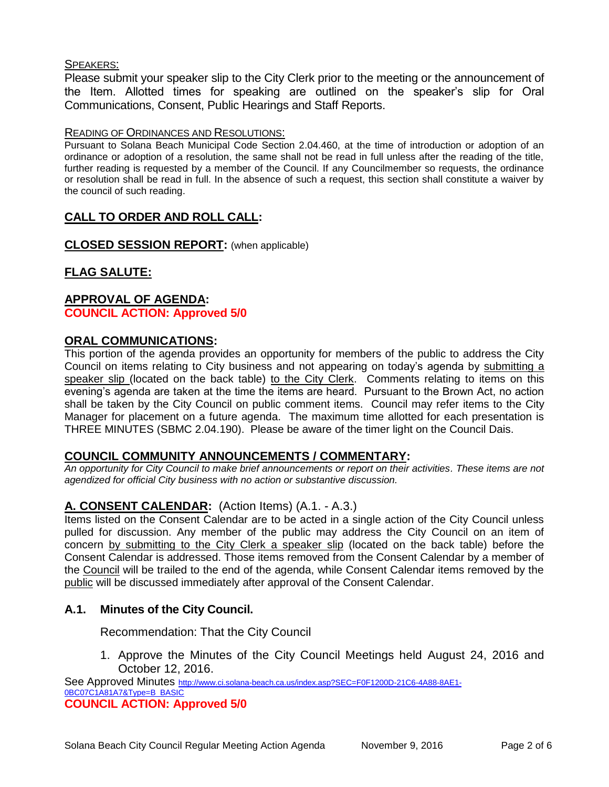## SPEAKERS:

Please submit your speaker slip to the City Clerk prior to the meeting or the announcement of the Item. Allotted times for speaking are outlined on the speaker's slip for Oral Communications, Consent, Public Hearings and Staff Reports.

#### READING OF ORDINANCES AND RESOLUTIONS:

Pursuant to Solana Beach Municipal Code Section 2.04.460, at the time of introduction or adoption of an ordinance or adoption of a resolution, the same shall not be read in full unless after the reading of the title, further reading is requested by a member of the Council. If any Councilmember so requests, the ordinance or resolution shall be read in full. In the absence of such a request, this section shall constitute a waiver by the council of such reading.

# **CALL TO ORDER AND ROLL CALL:**

**CLOSED SESSION REPORT:** (when applicable)

# **FLAG SALUTE:**

## **APPROVAL OF AGENDA: COUNCIL ACTION: Approved 5/0**

## **ORAL COMMUNICATIONS:**

This portion of the agenda provides an opportunity for members of the public to address the City Council on items relating to City business and not appearing on today's agenda by submitting a speaker slip (located on the back table) to the City Clerk. Comments relating to items on this evening's agenda are taken at the time the items are heard. Pursuant to the Brown Act, no action shall be taken by the City Council on public comment items. Council may refer items to the City Manager for placement on a future agenda. The maximum time allotted for each presentation is THREE MINUTES (SBMC 2.04.190). Please be aware of the timer light on the Council Dais.

#### **COUNCIL COMMUNITY ANNOUNCEMENTS / COMMENTARY:**

*An opportunity for City Council to make brief announcements or report on their activities. These items are not agendized for official City business with no action or substantive discussion.* 

# **A. CONSENT CALENDAR:** (Action Items) (A.1. - A.3.)

Items listed on the Consent Calendar are to be acted in a single action of the City Council unless pulled for discussion. Any member of the public may address the City Council on an item of concern by submitting to the City Clerk a speaker slip (located on the back table) before the Consent Calendar is addressed. Those items removed from the Consent Calendar by a member of the Council will be trailed to the end of the agenda, while Consent Calendar items removed by the public will be discussed immediately after approval of the Consent Calendar.

# **A.1. Minutes of the City Council.**

Recommendation: That the City Council

1. Approve the Minutes of the City Council Meetings held August 24, 2016 and October 12, 2016.

See Approved Minutes [http://www.ci.solana-beach.ca.us/index.asp?SEC=F0F1200D-21C6-4A88-8AE1-](http://www.ci.solana-beach.ca.us/index.asp?SEC=F0F1200D-21C6-4A88-8AE1-0BC07C1A81A7&Type=B_BASIC) [0BC07C1A81A7&Type=B\\_BASIC](http://www.ci.solana-beach.ca.us/index.asp?SEC=F0F1200D-21C6-4A88-8AE1-0BC07C1A81A7&Type=B_BASIC) **COUNCIL ACTION: Approved 5/0**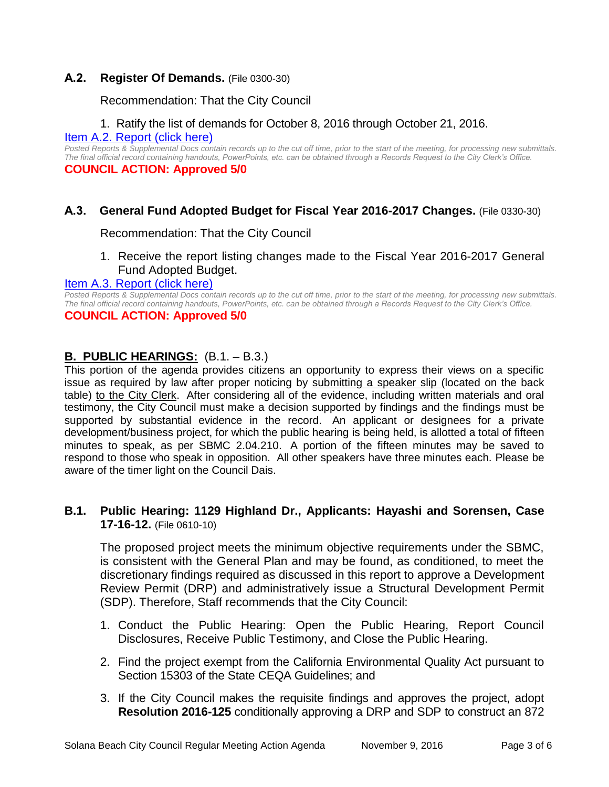# **A.2. Register Of Demands.** (File 0300-30)

Recommendation: That the City Council

# 1. Ratify the list of demands for October 8, 2016 through October 21, 2016.

[Item A.2. Report \(click here\)](https://solanabeach.govoffice3.com/vertical/Sites/%7B840804C2-F869-4904-9AE3-720581350CE7%7D/uploads/Item_A.2._Report_(click_here)_-_11-9-16.PDF)

*Posted Reports & Supplemental Docs contain records up to the cut off time, prior to the start of the meeting, for processing new submittals. The final official record containing handouts, PowerPoints, etc. can be obtained through a Records Request to the City Clerk's Office.* **COUNCIL ACTION: Approved 5/0**

# **A.3. General Fund Adopted Budget for Fiscal Year 2016-2017 Changes.** (File 0330-30)

Recommendation: That the City Council

1. Receive the report listing changes made to the Fiscal Year 2016-2017 General Fund Adopted Budget.

## [Item A.3. Report \(click here\)](https://solanabeach.govoffice3.com/vertical/Sites/%7B840804C2-F869-4904-9AE3-720581350CE7%7D/uploads/Item_A.3._Report_(click_here)_-_11-9-16.PDF)

*Posted Reports & Supplemental Docs contain records up to the cut off time, prior to the start of the meeting, for processing new submittals. The final official record containing handouts, PowerPoints, etc. can be obtained through a Records Request to the City Clerk's Office.* **COUNCIL ACTION: Approved 5/0**

# **B. PUBLIC HEARINGS:** (B.1. – B.3.)

This portion of the agenda provides citizens an opportunity to express their views on a specific issue as required by law after proper noticing by submitting a speaker slip (located on the back table) to the City Clerk. After considering all of the evidence, including written materials and oral testimony, the City Council must make a decision supported by findings and the findings must be supported by substantial evidence in the record. An applicant or designees for a private development/business project, for which the public hearing is being held, is allotted a total of fifteen minutes to speak, as per SBMC 2.04.210. A portion of the fifteen minutes may be saved to respond to those who speak in opposition. All other speakers have three minutes each. Please be aware of the timer light on the Council Dais.

# **B.1. Public Hearing: 1129 Highland Dr., Applicants: Hayashi and Sorensen, Case 17-16-12.** (File 0610-10)

The proposed project meets the minimum objective requirements under the SBMC, is consistent with the General Plan and may be found, as conditioned, to meet the discretionary findings required as discussed in this report to approve a Development Review Permit (DRP) and administratively issue a Structural Development Permit (SDP). Therefore, Staff recommends that the City Council:

- 1. Conduct the Public Hearing: Open the Public Hearing, Report Council Disclosures, Receive Public Testimony, and Close the Public Hearing.
- 2. Find the project exempt from the California Environmental Quality Act pursuant to Section 15303 of the State CEQA Guidelines; and
- 3. If the City Council makes the requisite findings and approves the project, adopt **Resolution 2016-125** conditionally approving a DRP and SDP to construct an 872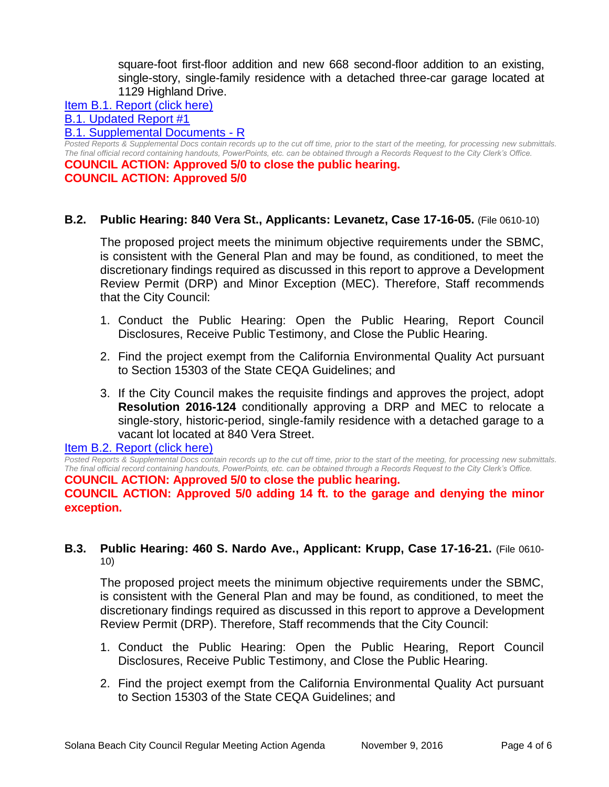square-foot first-floor addition and new 668 second-floor addition to an existing, single-story, single-family residence with a detached three-car garage located at 1129 Highland Drive.

#### [Item B.1. Report \(click here\)](https://solanabeach.govoffice3.com/vertical/Sites/%7B840804C2-F869-4904-9AE3-720581350CE7%7D/uploads/Item_B.1._Report_(click_here)_-_11-9-16.PDF)

# [B.1. Updated Report #1](https://solanabeach.govoffice3.com/vertical/Sites/%7B840804C2-F869-4904-9AE3-720581350CE7%7D/uploads/B.1._Updated_Report__1_-_11-09-16.pdf)

#### [B.1. Supplemental Documents -](https://solanabeach.govoffice3.com/vertical/Sites/%7B840804C2-F869-4904-9AE3-720581350CE7%7D/uploads/B.1._Supplemental_Documents_updated_11-08_at_420pm_-_R.pdf) R

*Posted Reports & Supplemental Docs contain records up to the cut off time, prior to the start of the meeting, for processing new submittals. The final official record containing handouts, PowerPoints, etc. can be obtained through a Records Request to the City Clerk's Office.*

**COUNCIL ACTION: Approved 5/0 to close the public hearing. COUNCIL ACTION: Approved 5/0**

## **B.2. Public Hearing: 840 Vera St., Applicants: Levanetz, Case 17-16-05.** (File 0610-10)

The proposed project meets the minimum objective requirements under the SBMC, is consistent with the General Plan and may be found, as conditioned, to meet the discretionary findings required as discussed in this report to approve a Development Review Permit (DRP) and Minor Exception (MEC). Therefore, Staff recommends that the City Council:

- 1. Conduct the Public Hearing: Open the Public Hearing, Report Council Disclosures, Receive Public Testimony, and Close the Public Hearing.
- 2. Find the project exempt from the California Environmental Quality Act pursuant to Section 15303 of the State CEQA Guidelines; and
- 3. If the City Council makes the requisite findings and approves the project, adopt **Resolution 2016-124** conditionally approving a DRP and MEC to relocate a single-story, historic-period, single-family residence with a detached garage to a vacant lot located at 840 Vera Street.

#### [Item B.2. Report \(click here\)](https://solanabeach.govoffice3.com/vertical/Sites/%7B840804C2-F869-4904-9AE3-720581350CE7%7D/uploads/Item_B.2._Report_(click_here)_-_11-9-16.PDF)

*Posted Reports & Supplemental Docs contain records up to the cut off time, prior to the start of the meeting, for processing new submittals. The final official record containing handouts, PowerPoints, etc. can be obtained through a Records Request to the City Clerk's Office.*

#### **COUNCIL ACTION: Approved 5/0 to close the public hearing.**

**COUNCIL ACTION: Approved 5/0 adding 14 ft. to the garage and denying the minor exception.** 

## **B.3. Public Hearing: 460 S. Nardo Ave., Applicant: Krupp, Case 17-16-21.** (File 0610- 10)

The proposed project meets the minimum objective requirements under the SBMC, is consistent with the General Plan and may be found, as conditioned, to meet the discretionary findings required as discussed in this report to approve a Development Review Permit (DRP). Therefore, Staff recommends that the City Council:

- 1. Conduct the Public Hearing: Open the Public Hearing, Report Council Disclosures, Receive Public Testimony, and Close the Public Hearing.
- 2. Find the project exempt from the California Environmental Quality Act pursuant to Section 15303 of the State CEQA Guidelines; and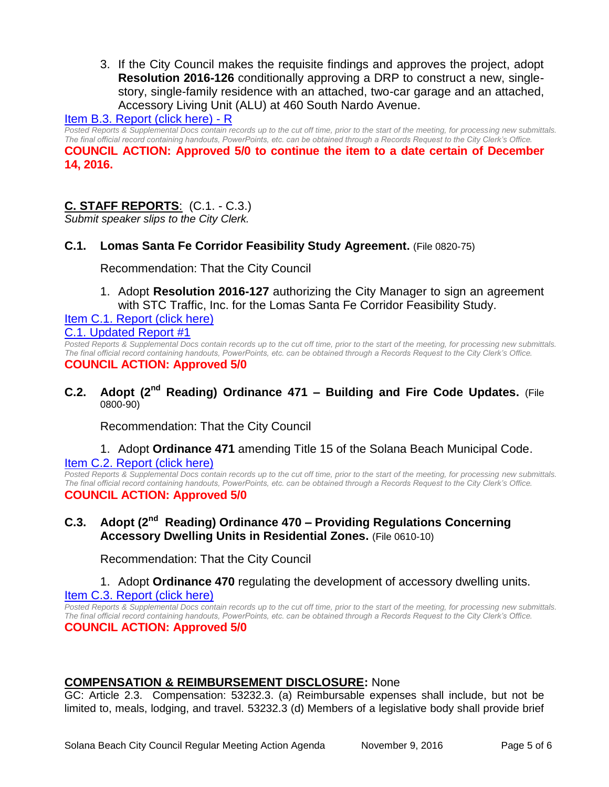3. If the City Council makes the requisite findings and approves the project, adopt **Resolution 2016-126** conditionally approving a DRP to construct a new, singlestory, single-family residence with an attached, two-car garage and an attached, Accessory Living Unit (ALU) at 460 South Nardo Avenue.

## [Item B.3. Report \(click here\) -](https://solanabeach.govoffice3.com/vertical/Sites/%7B840804C2-F869-4904-9AE3-720581350CE7%7D/uploads/Item_B.3._Report_(click_here)_-_11-9-16_-_R.pdf) R

*Posted Reports & Supplemental Docs contain records up to the cut off time, prior to the start of the meeting, for processing new submittals. The final official record containing handouts, PowerPoints, etc. can be obtained through a Records Request to the City Clerk's Office.* **COUNCIL ACTION: Approved 5/0 to continue the item to a date certain of December 14, 2016.** 

# **C. STAFF REPORTS**: (C.1. - C.3.)

*Submit speaker slips to the City Clerk.*

## **C.1. Lomas Santa Fe Corridor Feasibility Study Agreement.** (File 0820-75)

Recommendation: That the City Council

1. Adopt **Resolution 2016-127** authorizing the City Manager to sign an agreement with STC Traffic, Inc. for the Lomas Santa Fe Corridor Feasibility Study.

[Item C.1. Report \(click here\)](https://solanabeach.govoffice3.com/vertical/Sites/%7B840804C2-F869-4904-9AE3-720581350CE7%7D/uploads/Item_C.1._Report_(click_here)_-_11-9-16.PDF) [C.1. Updated Report #1](https://solanabeach.govoffice3.com/vertical/Sites/%7B840804C2-F869-4904-9AE3-720581350CE7%7D/uploads/C.1._Updated_Report__1_-_11-09-16.pdf)

*Posted Reports & Supplemental Docs contain records up to the cut off time, prior to the start of the meeting, for processing new submittals. The final official record containing handouts, PowerPoints, etc. can be obtained through a Records Request to the City Clerk's Office.* **COUNCIL ACTION: Approved 5/0**

**C.2. Adopt (2nd Reading) Ordinance 471 – Building and Fire Code Updates.** (File 0800-90)

Recommendation: That the City Council

#### 1. Adopt **Ordinance 471** amending Title 15 of the Solana Beach Municipal Code. [Item C.2. Report \(click here\)](https://solanabeach.govoffice3.com/vertical/Sites/%7B840804C2-F869-4904-9AE3-720581350CE7%7D/uploads/Item_C.2._Report_(click_here)_-_11-9-16.PDF)

*Posted Reports & Supplemental Docs contain records up to the cut off time, prior to the start of the meeting, for processing new submittals. The final official record containing handouts, PowerPoints, etc. can be obtained through a Records Request to the City Clerk's Office.* **COUNCIL ACTION: Approved 5/0**

# **C.3. Adopt (2nd Reading) Ordinance 470 – Providing Regulations Concerning Accessory Dwelling Units in Residential Zones.** (File 0610-10)

Recommendation: That the City Council

#### 1. Adopt **Ordinance 470** regulating the development of accessory dwelling units.

[Item C.3. Report \(click here\)](https://solanabeach.govoffice3.com/vertical/Sites/%7B840804C2-F869-4904-9AE3-720581350CE7%7D/uploads/Item_C.3._Report_(click_here)_-_11-9-16.PDF)

*Posted Reports & Supplemental Docs contain records up to the cut off time, prior to the start of the meeting, for processing new submittals. The final official record containing handouts, PowerPoints, etc. can be obtained through a Records Request to the City Clerk's Office.* **COUNCIL ACTION: Approved 5/0**

#### **COMPENSATION & REIMBURSEMENT DISCLOSURE:** None

GC: Article 2.3. Compensation: 53232.3. (a) Reimbursable expenses shall include, but not be limited to, meals, lodging, and travel. 53232.3 (d) Members of a legislative body shall provide brief